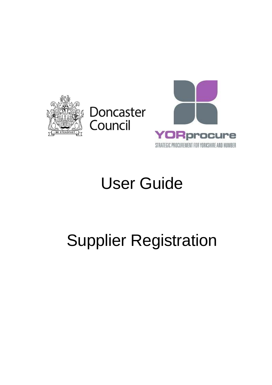



## User Guide

## Supplier Registration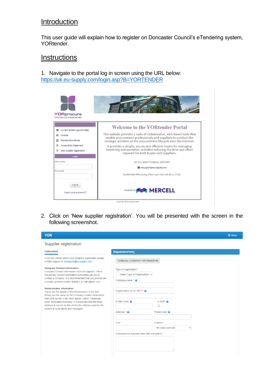## **Introduction**

This user guide will explain how to register on Doncaster Council's eTendering system, YORtender.

## **Instructions**

1. Navigate to the portal log in screen using the URL below: <https://uk.eu-supply.com/login.asp?B=YORTENDER>



2. Click on 'New supplier registration'. You will be presented with the screen in the following screenshot.

| <b>YOR</b>                                                                                                                                                                        |                                                                 |                          | <b>U</b> Close |
|-----------------------------------------------------------------------------------------------------------------------------------------------------------------------------------|-----------------------------------------------------------------|--------------------------|----------------|
| Supplier registration                                                                                                                                                             |                                                                 |                          |                |
| <b>Instructions</b>                                                                                                                                                               | [RegistrationForm]                                              |                          |                |
| If you are unsure about your company registration please<br>contact support at uksupport@eu-supply.com                                                                            | <b>GENERAL COMPANY INFORMATION</b>                              |                          |                |
| <b>Company Contact Information</b><br>Company Contact Information must be supplied. This is                                                                                       | Type of organisation *<br>-- Select Type of Organisation $\sim$ |                          |                |
| the primary contact information Authorities will use to<br>contact a company. It is recommended that you provide the<br>company general contact details e.g. sales@abc.com.       | Company name * @                                                |                          |                |
| <b>Administrator information</b><br>These are the details of the Administrator. If the user<br>details are the same as the Company contact information                            | Organisation no (or VAT) * @                                    |                          |                |
| then click on the "Copy from above" button. Otherwise<br>enter information manually. It is important that the email<br>address is correct as this will be the address used by the | DUNS Code @                                                     | Is SME <sup>O</sup><br>Π |                |
| system to send alerts and messages.                                                                                                                                               | Address * @                                                     | Postal code <sup>o</sup> |                |
|                                                                                                                                                                                   | City *                                                          | Country *                |                |
|                                                                                                                                                                                   |                                                                 | No value selected        |                |
|                                                                                                                                                                                   | Description of business Max 500 characters *                    |                          |                |
|                                                                                                                                                                                   |                                                                 |                          |                |
|                                                                                                                                                                                   |                                                                 |                          |                |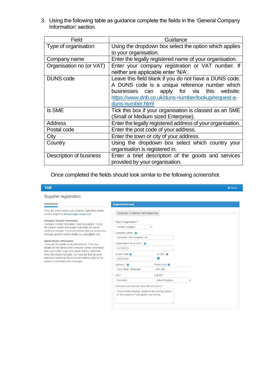3. Using the following table as guidance complete the fields in the 'General Company Information' section.

| Field                    | Guidance                                                   |
|--------------------------|------------------------------------------------------------|
| Type of organisation     | Using the dropdown box select the option which applies     |
|                          | to your organisation.                                      |
| Company name             | Enter the legally registered name of your organisation.    |
| Organisation no (or VAT) | Enter your company registration or VAT number. If          |
|                          | neither are applicable enter 'N/A'.                        |
| <b>DUNS</b> code         | Leave this field blank if you do not have a DUNS code.     |
|                          | A DUNS code is a unique reference number which             |
|                          | apply for via this website:<br>businesses can              |
|                          | https://www.dnb.co.uk/duns-number/lookup/request-a-        |
|                          | duns-number.html                                           |
| <b>Is SME</b>            | Tick this box if your organisation is classed as an SME    |
|                          | (Small or Medium sized Enterprise).                        |
| <b>Address</b>           | Enter the legally registered address of your organisation. |
| Postal code              | Enter the post code of your address.                       |
| City                     | Enter the town or city of your address.                    |
| Country                  | Using the dropdown box select which country your           |
|                          | organisation is registered in.                             |
| Description of business  | Enter a brief description of the goods and services        |
|                          | provided by your organisation.                             |

Once completed the fields should look similar to the following screenshot.

| <b>YOR</b>                                                                                                       |                                                                                                      |                                         | <b>む Close</b> |
|------------------------------------------------------------------------------------------------------------------|------------------------------------------------------------------------------------------------------|-----------------------------------------|----------------|
| Supplier registration                                                                                            |                                                                                                      |                                         |                |
| <b>Instructions</b>                                                                                              | [RegistrationForm]                                                                                   |                                         |                |
| If you are unsure about your company registration please<br>contact support at uksupport@eu-supply.com           | <b>GENERAL COMPANY INFORMATION</b>                                                                   |                                         |                |
| <b>Company Contact Information</b><br>Company Contact Information must be supplied. This is                      | Type of organisation *                                                                               |                                         |                |
| the primary contact information Authorities will use to                                                          | <b>Private Company</b>                                                                               | $\checkmark$                            |                |
| contact a company. It is recommended that you provide the<br>company general contact details e.g. sales@abc.com. | Company name $*$ $\Theta$                                                                            |                                         |                |
| <b>Administrator information</b>                                                                                 | Doncaster Test Company Ltd                                                                           |                                         |                |
| These are the details of the Administrator. If the user                                                          | Organisation no (or VAT) * @                                                                         |                                         |                |
| details are the same as the Company contact information<br>then click on the "Copy from above" button. Otherwise | 123123123                                                                                            |                                         |                |
| enter information manually. It is important that the email                                                       | DUNS Code @                                                                                          | $Is SME$ <sup><math>\Omega</math></sup> |                |
| address is correct as this will be the address used by the<br>system to send alerts and messages.                | 202020202                                                                                            | ✔                                       |                |
|                                                                                                                  | Address * @                                                                                          | Postal code <sup>O</sup>                |                |
|                                                                                                                  | Civic Office, Waterdale                                                                              | <b>DN1 3BU</b>                          |                |
|                                                                                                                  | City *                                                                                               | Country *                               |                |
|                                                                                                                  | <b>Doncaster</b>                                                                                     | <b>United Kingdom</b><br>$\checkmark$   |                |
|                                                                                                                  | Description of business Max 500 characters *                                                         |                                         |                |
|                                                                                                                  | This is a test company created in the training system<br>for the purpose of user guides and testing. |                                         |                |
|                                                                                                                  |                                                                                                      |                                         |                |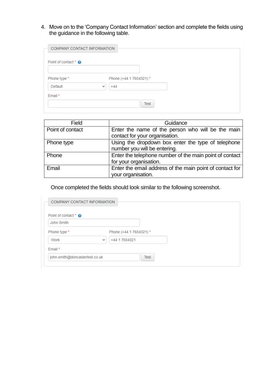4. Move on to the 'Company Contact Information' section and complete the fields using the guidance in the following table.

| Point of contact * @    |                         |
|-------------------------|-------------------------|
|                         |                         |
| Phone type *            | Phone (+44 1 7654321) * |
| Default<br>$\checkmark$ | $+44$                   |

| Field            | Guidance                                                 |
|------------------|----------------------------------------------------------|
| Point of contact | Enter the name of the person who will be the main        |
|                  | contact for your organisation.                           |
| Phone type       | Using the dropdown box enter the type of telephone       |
|                  | number you will be entering.                             |
| Phone            | Enter the telephone number of the main point of contact  |
|                  | for your organisation.                                   |
| Email            | Enter the email address of the main point of contact for |
|                  | your organisation.                                       |

Once completed the fields should look similar to the following screenshot.

| Point of contact * @           |                               |             |
|--------------------------------|-------------------------------|-------------|
| John Smith                     |                               |             |
| Phone type *                   | Phone (+44 1 7654321) *       |             |
| Work                           | +44 1 7654321<br>$\checkmark$ |             |
| Email *                        |                               |             |
| john.smith@doncastertest.co.uk |                               | <b>Test</b> |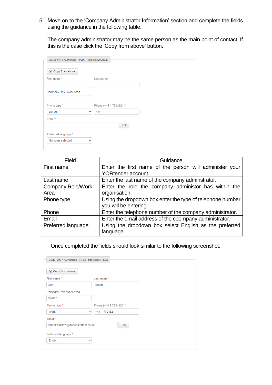5. Move on to the 'Company Administrator Information' section and complete the fields using the guidance in the following table.

The company administrator may be the same person as the main point of contact. If this is the case click the 'Copy from above' button.

| COMPANY ADMINISTRATOR INFORMATION |                         |  |
|-----------------------------------|-------------------------|--|
| 色 Copy from above                 |                         |  |
| First name*                       | Last name*              |  |
|                                   |                         |  |
| Company Role/Work Area            |                         |  |
|                                   |                         |  |
| Phone type *                      | Phone (+44 1 7654321) * |  |
| Default<br>$\checkmark$           | $+44$                   |  |
| Email*                            |                         |  |
|                                   | Test                    |  |
| Preferred language *              |                         |  |
| No value selected<br>$\checkmark$ |                         |  |
|                                   |                         |  |

| Field                    | Guidance                                                  |
|--------------------------|-----------------------------------------------------------|
| First name               | Enter the first name of the person will administer your   |
|                          | <b>YORtender account.</b>                                 |
| Last name                | Enter the last name of the company adminstrator.          |
| <b>Company Role/Work</b> | Enter the role the company administor has within the      |
| Area                     | organisation.                                             |
| Phone type               | Using the dropdown box enter the type of telephone number |
|                          | you will be entering.                                     |
| Phone                    | Enter the telephone number of the company administrator.  |
| Email                    | Enter the email address of the coompany administrator.    |
| Preferred language       | Using the dropdown box select English as the preferred    |
|                          | language.                                                 |

Once completed the fields should look similar to the following screenshot.

| <sup>4</sup> Copy from above       |                               |  |
|------------------------------------|-------------------------------|--|
| First name*                        | Last name*                    |  |
| John                               | Smith                         |  |
| Company Role/Work Area             |                               |  |
| Owner                              |                               |  |
| Phone type *                       | Phone (+44 1 7654321) *       |  |
| <b>Work</b>                        | +44 1 7654321<br>$\checkmark$ |  |
| Email*                             |                               |  |
| daniel.winslow@doncastertest.co.uk | <b>Test</b>                   |  |
| Preferred language *               |                               |  |
| English                            | $\checkmark$                  |  |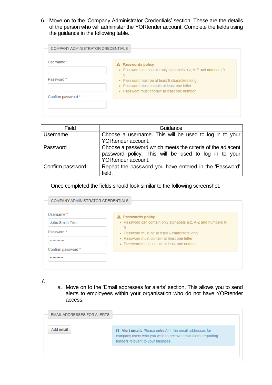6. Move on to the 'Company Administrator Credentials' section. These are the details of the person who will administer the YORtender account. Complete the fields using the guidance in the following table.

| COMPANY ADMINISTRATOR CREDENTIALS |                                                                                               |
|-----------------------------------|-----------------------------------------------------------------------------------------------|
| Username <sup>*</sup>             | A Passwords policy                                                                            |
|                                   | - Password can contain only alphabets a-z, A-Z and numbers 0-                                 |
| Password *                        | 9                                                                                             |
|                                   | • Password must be at least 6 characters long.<br>• Password must contain at least one letter |
|                                   | • Password must contain at least one number.                                                  |
| Confirm password *                |                                                                                               |
|                                   |                                                                                               |
|                                   |                                                                                               |

| Field            | Guidance                                                   |
|------------------|------------------------------------------------------------|
| Username         | Choose a username. This will be used to log in to your     |
|                  | YORtender account.                                         |
| Password         | Choose a password which meets the criteria of the adjacent |
|                  | password policy. This will be used to log in to your       |
|                  | YORtender account.                                         |
| Confirm password | Repeat the password you have entered in the 'Password'     |
|                  | field.                                                     |

Once completed the fields should look similar to the following screenshot.

| Usemame <sup>*</sup><br>John Smith Test<br>Password * | A Passwords policy<br>- Password can contain only alphabets a-z, A-Z and numbers 0-<br>9<br>• Password must be at least 6 characters long.<br>• Password must contain at least one letter |
|-------------------------------------------------------|-------------------------------------------------------------------------------------------------------------------------------------------------------------------------------------------|
| Confirm password *                                    | • Password must contain at least one number                                                                                                                                               |

7.

a. Move on to the 'Email addresses for alerts' section. This allows you to send alerts to employees within your organisation who do not have YORtender access.

| EMAIL ADDRESSES FOR ALERTS |                                                                                                                                                                      |
|----------------------------|----------------------------------------------------------------------------------------------------------------------------------------------------------------------|
| Add email                  | <b>O</b> Alert emails Please enter ALL the email addresses for<br>company users who you wish to receive email alerts regarding<br>tenders relevant to your business. |
|                            |                                                                                                                                                                      |